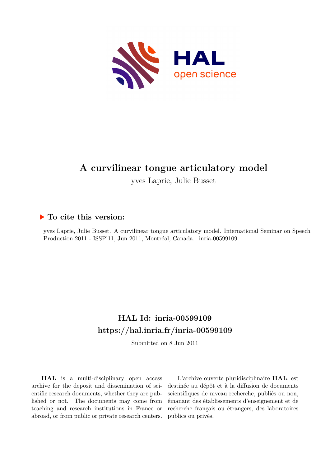

# **A curvilinear tongue articulatory model**

yves Laprie, Julie Busset

# **To cite this version:**

yves Laprie, Julie Busset. A curvilinear tongue articulatory model. International Seminar on Speech Production 2011 - ISSP'11, Jun 2011, Montréal, Canada. inria-00599109

# **HAL Id: inria-00599109 <https://hal.inria.fr/inria-00599109>**

Submitted on 8 Jun 2011

**HAL** is a multi-disciplinary open access archive for the deposit and dissemination of scientific research documents, whether they are published or not. The documents may come from teaching and research institutions in France or abroad, or from public or private research centers.

L'archive ouverte pluridisciplinaire **HAL**, est destinée au dépôt et à la diffusion de documents scientifiques de niveau recherche, publiés ou non, émanant des établissements d'enseignement et de recherche français ou étrangers, des laboratoires publics ou privés.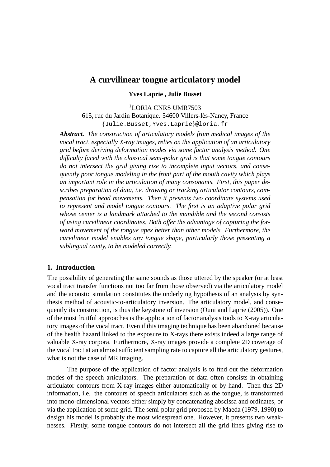# **A curvilinear tongue articulatory model**

## **Yves Laprie , Julie Busset**

<sup>1</sup>LORIA CNRS UMR7503

615, rue du Jardin Botanique. 54600 Villers-les-Nancy, France ` {Julie.Busset,Yves.Laprie}@loria.fr

*Abstract. The construction of articulatory models from medical images of the vocal tract, especially X-ray images, relies on the application of an articulatory grid before deriving deformation modes via some factor analysis method. One difficulty faced with the classical semi-polar grid is that some tongue contours do not intersect the grid giving rise to incomplete input vectors, and consequently poor tongue modeling in the front part of the mouth cavity which plays an important role in the articulation of many consonants. First, this paper describes preparation of data, i.e. drawing or tracking articulator contours, compensation for head movements. Then it presents two coordinate systems used to represent and model tongue contours. The first is an adaptive polar grid whose center is a landmark attached to the mandible and the second consists of using curvilinear coordinates. Both offer the advantage of capturing the forward movement of the tongue apex better than other models. Furthermore, the curvilinear model enables any tongue shape, particularly those presenting a sublingual cavity, to be modeled correctly.*

#### **1. Introduction**

The possibility of generating the same sounds as those uttered by the speaker (or at least vocal tract transfer functions not too far from those observed) via the articulatory model and the acoustic simulation constitutes the underlying hypothesis of an analysis by synthesis method of acoustic-to-articulatory inversion. The articulatory model, and consequently its construction, is thus the keystone of inversion (Ouni and Laprie (2005)). One of the most fruitful approaches is the application of factor analysis tools to X-ray articulatory images of the vocal tract. Even if this imaging technique has been abandoned because of the health hazard linked to the exposure to X-rays there exists indeed a large range of valuable X-ray corpora. Furthermore, X-ray images provide a complete 2D coverage of the vocal tract at an almost sufficient sampling rate to capture all the articulatory gestures, what is not the case of MR imaging.

The purpose of the application of factor analysis is to find out the deformation modes of the speech articulators. The preparation of data often consists in obtaining articulator contours from X-ray images either automatically or by hand. Then this 2D information, i.e. the contours of speech articulators such as the tongue, is transformed into mono-dimensional vectors either simply by concatenating abscissa and ordinates, or via the application of some grid. The semi-polar grid proposed by Maeda (1979, 1990) to design his model is probably the most widespread one. However, it presents two weaknesses. Firstly, some tongue contours do not intersect all the grid lines giving rise to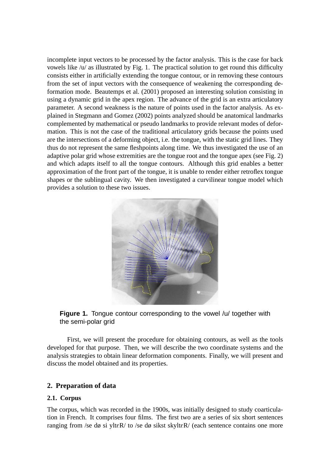incomplete input vectors to be processed by the factor analysis. This is the case for back vowels like /u/ as illustrated by Fig. 1. The practical solution to get round this difficulty consists either in artificially extending the tongue contour, or in removing these contours from the set of input vectors with the consequence of weakening the corresponding deformation mode. Beautemps et al. (2001) proposed an interesting solution consisting in using a dynamic grid in the apex region. The advance of the grid is an extra articulatory parameter. A second weakness is the nature of points used in the factor analysis. As explained in Stegmann and Gomez (2002) points analyzed should be anatomical landmarks complemented by mathematical or pseudo landmarks to provide relevant modes of deformation. This is not the case of the traditional articulatory grids because the points used are the intersections of a deforming object, i.e. the tongue, with the static grid lines. They thus do not represent the same fleshpoints along time. We thus investigated the use of an adaptive polar grid whose extremities are the tongue root and the tongue apex (see Fig. 2) and which adapts itself to all the tongue contours. Although this grid enables a better approximation of the front part of the tongue, it is unable to render either retroflex tongue shapes or the sublingual cavity. We then investigated a curvilinear tongue model which provides a solution to these two issues.



**Figure 1.** Tongue contour corresponding to the vowel /u/ together with the semi-polar grid

First, we will present the procedure for obtaining contours, as well as the tools developed for that purpose. Then, we will describe the two coordinate systems and the analysis strategies to obtain linear deformation components. Finally, we will present and discuss the model obtained and its properties.

## **2. Preparation of data**

#### **2.1. Corpus**

The corpus, which was recorded in the 1900s, was initially designed to study coarticulation in French. It comprises four films. The first two are a series of six short sentences ranging from /se dø si ylt $\epsilon$ R/ to /se dø sikst skylt $\epsilon$ R/ (each sentence contains one more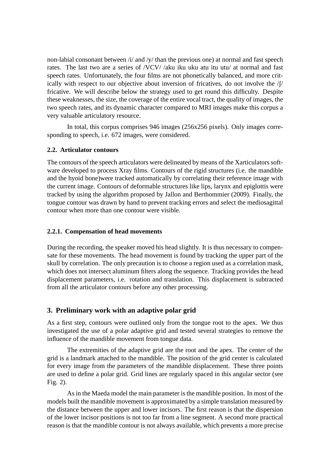non-labial consonant between  $\frac{1}{4}$  and  $\frac{1}{4}$  than the previous one) at normal and fast speech rates. The last two are a series of /VCV/ /aku iku uku atu itu utu/ at normal and fast speech rates. Unfortunately, the four films are not phonetically balanced, and more critically with respect to our objective about inversion of fricatives, do not involve the  $/f/$ fricative. We will describe below the strategy used to get round this difficulty. Despite these weaknesses, the size, the coverage of the entire vocal tract, the quality of images, the two speech rates, and its dynamic character compared to MRI images make this corpus a very valuable articulatory resource.

In total, this corpus comprises 946 images (256x256 pixels). Only images corresponding to speech, i.e. 672 images, were considered.

#### **2.2. Articulator contours**

The contours of the speech articulators were delineated by means of the Xarticulators software developed to process Xray films. Contours of the rigid structures (i.e. the mandible and the hyoid bone)were tracked automatically by correlating their reference image with the current image. Contours of deformable structures like lips, larynx and epiglottis were tracked by using the algorithm proposed by Jallon and Berthommier (2009). Finally, the tongue contour was drawn by hand to prevent tracking errors and select the mediosagittal contour when more than one contour were visible.

#### **2.2.1. Compensation of head movements**

During the recording, the speaker moved his head slightly. It is thus necessary to compensate for these movements. The head movement is found by tracking the upper part of the skull by correlation. The only precaution is to choose a region used as a correlation mask, which does not intersect aluminum filters along the sequence. Tracking provides the head displacement parameters, i.e. rotation and translation. This displacement is subtracted from all the articulator contours before any other processing.

## **3. Preliminary work with an adaptive polar grid**

As a first step, contours were outlined only from the tongue root to the apex. We thus investigated the use of a polar adaptive grid and tested several strategies to remove the influence of the mandible movement from tongue data.

The extremities of the adaptive grid are the root and the apex. The center of the grid is a landmark attached to the mandible. The position of the grid center is calculated for every image from the parameters of the mandible displacement. These three points are used to define a polar grid. Grid lines are regularly spaced in this angular sector (see Fig. 2).

As in the Maeda model the main parameter is the mandible position. In most of the models built the mandible movement is approximated by a simple translation measured by the distance between the upper and lower incisors. The first reason is that the dispersion of the lower incisor positions is not too far from a line segment. A second more practical reason is that the mandible contour is not always available, which prevents a more precise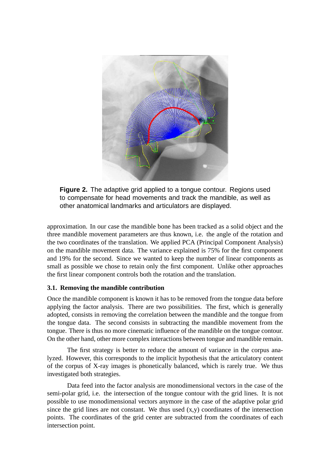

**Figure 2.** The adaptive grid applied to a tongue contour. Regions used to compensate for head movements and track the mandible, as well as other anatomical landmarks and articulators are displayed.

approximation. In our case the mandible bone has been tracked as a solid object and the three mandible movement parameters are thus known, i.e. the angle of the rotation and the two coordinates of the translation. We applied PCA (Principal Component Analysis) on the mandible movement data. The variance explained is 75% for the first component and 19% for the second. Since we wanted to keep the number of linear components as small as possible we chose to retain only the first component. Unlike other approaches the first linear component controls both the rotation and the translation.

## **3.1. Removing the mandible contribution**

Once the mandible component is known it has to be removed from the tongue data before applying the factor analysis. There are two possibilities. The first, which is generally adopted, consists in removing the correlation between the mandible and the tongue from the tongue data. The second consists in subtracting the mandible movement from the tongue. There is thus no more cinematic influence of the mandible on the tongue contour. On the other hand, other more complex interactions between tongue and mandible remain.

The first strategy is better to reduce the amount of variance in the corpus analyzed. However, this corresponds to the implicit hypothesis that the articulatory content of the corpus of X-ray images is phonetically balanced, which is rarely true. We thus investigated both strategies.

Data feed into the factor analysis are monodimensional vectors in the case of the semi-polar grid, i.e. the intersection of the tongue contour with the grid lines. It is not possible to use monodimensional vectors anymore in the case of the adaptive polar grid since the grid lines are not constant. We thus used  $(x,y)$  coordinates of the intersection points. The coordinates of the grid center are subtracted from the coordinates of each intersection point.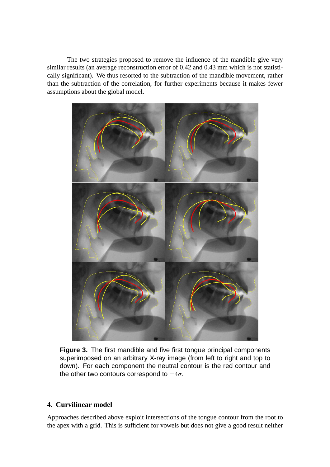The two strategies proposed to remove the influence of the mandible give very similar results (an average reconstruction error of 0.42 and 0.43 mm which is not statistically significant). We thus resorted to the subtraction of the mandible movement, rather than the subtraction of the correlation, for further experiments because it makes fewer assumptions about the global model.



**Figure 3.** The first mandible and five first tongue principal components superimposed on an arbitrary X-ray image (from left to right and top to down). For each component the neutral contour is the red contour and the other two contours correspond to  $\pm 4\sigma$ .

## **4. Curvilinear model**

Approaches described above exploit intersections of the tongue contour from the root to the apex with a grid. This is sufficient for vowels but does not give a good result neither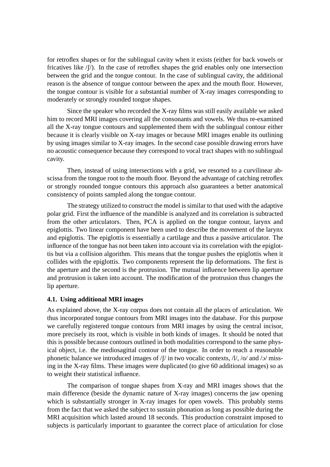for retroflex shapes or for the sublingual cavity when it exists (either for back vowels or fricatives like  $/$ [ $/$ ). In the case of retroflex shapes the grid enables only one intersection between the grid and the tongue contour. In the case of sublingual cavity, the additional reason is the absence of tongue contour between the apex and the mouth floor. However, the tongue contour is visible for a substantial number of X-ray images corresponding to moderately or strongly rounded tongue shapes.

Since the speaker who recorded the X-ray films was still easily available we asked him to record MRI images covering all the consonants and vowels. We thus re-examined all the X-ray tongue contours and supplemented them with the sublingual contour either because it is clearly visible on X-ray images or because MRI images enable its outlining by using images similar to X-ray images. In the second case possible drawing errors have no acoustic consequence because they correspond to vocal tract shapes with no sublingual cavity.

Then, instead of using intersections with a grid, we resorted to a curvilinear abscissa from the tongue root to the mouth floor. Beyond the advantage of catching retroflex or strongly rounded tongue contours this approach also guarantees a better anatomical consistency of points sampled along the tongue contour.

The strategy utilized to construct the model is similar to that used with the adaptive polar grid. First the influence of the mandible is analyzed and its correlation is subtracted from the other articulators. Then, PCA is applied on the tongue contour, larynx and epiglottis. Two linear component have been used to describe the movement of the larynx and epiglottis. The epiglottis is essentially a cartilage and thus a passive articulator. The influence of the tongue has not been taken into account via its correlation with the epiglottis but via a collision algorithm. This means that the tongue pushes the epiglottis when it collides with the epiglottis. Two components represent the lip deformations. The first is the aperture and the second is the protrusion. The mutual influence between lip aperture and protrusion is taken into account. The modification of the protrusion thus changes the lip aperture.

#### **4.1. Using additional MRI images**

As explained above, the X-ray corpus does not contain all the places of articulation. We thus incorporated tongue contours from MRI images into the database. For this purpose we carefully registered tongue contours from MRI images by using the central incisor, more precisely its root, which is visible in both kinds of images. It should be noted that this is possible because contours outlined in both modalities correspond to the same physical object, i.e. the mediosagittal contour of the tongue. In order to reach a reasonable phonetic balance we introduced images of /S/ in two vocalic contexts, /l/, /o/ and /O/ missing in the X-ray films. These images were duplicated (to give 60 additional images) so as to weight their statistical influence.

The comparison of tongue shapes from X-ray and MRI images shows that the main difference (beside the dynamic nature of X-ray images) concerns the jaw opening which is substantially stronger in X-ray images for open vowels. This probably stems from the fact that we asked the subject to sustain phonation as long as possible during the MRI acquisition which lasted around 18 seconds. This production constraint imposed to subjects is particularly important to guarantee the correct place of articulation for close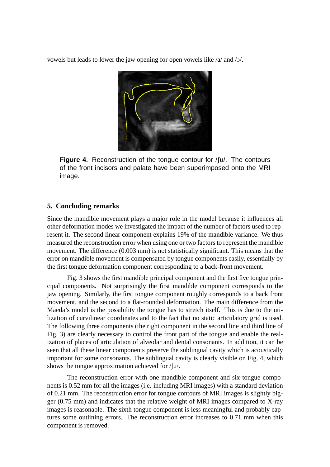vowels but leads to lower the jaw opening for open vowels like /a/ and /ɔ/.



**Figure 4.** Reconstruction of the tongue contour for /fu/. The contours of the front incisors and palate have been superimposed onto the MRI image.

#### **5. Concluding remarks**

Since the mandible movement plays a major role in the model because it influences all other deformation modes we investigated the impact of the number of factors used to represent it. The second linear component explains 19% of the mandible variance. We thus measured the reconstruction error when using one or two factors to represent the mandible movement. The difference (0.003 mm) is not statistically significant. This means that the error on mandible movement is compensated by tongue components easily, essentially by the first tongue deformation component corresponding to a back-front movement.

Fig. 3 shows the first mandible principal component and the first five tongue principal components. Not surprisingly the first mandible component corresponds to the jaw opening. Similarly, the first tongue component roughly corresponds to a back front movement, and the second to a flat-rounded deformation. The main difference from the Maeda's model is the possibility the tongue has to stretch itself. This is due to the utilization of curvilinear coordinates and to the fact that no static articulatory grid is used. The following three components (the right component in the second line and third line of Fig. 3) are clearly necessary to control the front part of the tongue and enable the realization of places of articulation of alveolar and dental consonants. In addition, it can be seen that all these linear components preserve the sublingual cavity which is acoustically important for some consonants. The sublingual cavity is clearly visible on Fig. 4, which shows the tongue approximation achieved for  $/\sqrt{u}$ .

The reconstruction error with one mandible component and six tongue components is 0.52 mm for all the images (i.e. including MRI images) with a standard deviation of 0.21 mm. The reconstruction error for tongue contours of MRI images is slightly bigger (0.75 mm) and indicates that the relative weight of MRI images compared to X-ray images is reasonable. The sixth tongue component is less meaningful and probably captures some outlining errors. The reconstruction error increases to 0.71 mm when this component is removed.